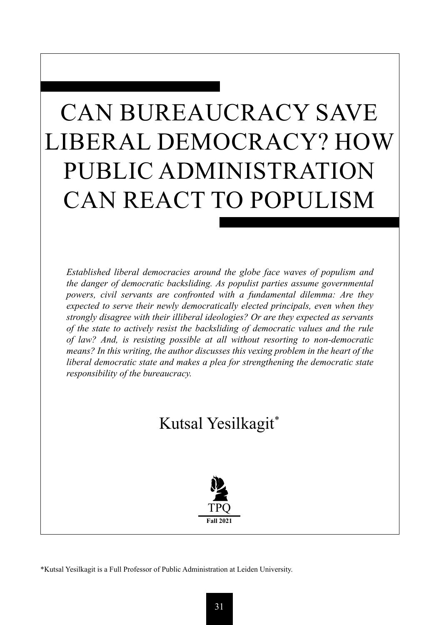# CAN BUREAUCRACY SAVE LIBERAL DEMOCRACY? HOW PUBLIC ADMINISTRATION CAN REACT TO POPULISM

*Established liberal democracies around the globe face waves of populism and the danger of democratic backsliding. As populist parties assume governmental powers, civil servants are confronted with a fundamental dilemma: Are they expected to serve their newly democratically elected principals, even when they strongly disagree with their illiberal ideologies? Or are they expected as servants of the state to actively resist the backsliding of democratic values and the rule of law? And, is resisting possible at all without resorting to non-democratic means? In this writing, the author discusses this vexing problem in the heart of the liberal democratic state and makes a plea for strengthening the democratic state responsibility of the bureaucracy.*

## Kutsal Yesilkagit\*



\*Kutsal Yesilkagit is a Full Professor of Public Administration at Leiden University.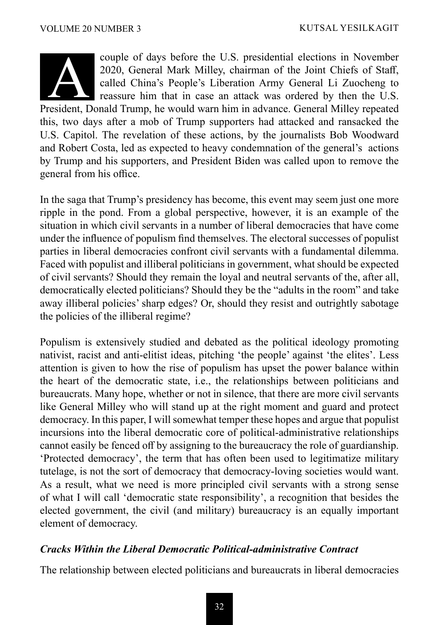

couple of days before the U.S. presidential elections in November 2020, General Mark Milley, chairman of the Joint Chiefs of Staff, called China's People's Liberation Army General Li Zuocheng to reassure him that in case an attack was ordered by then the U.S. couple of days before the U.S. presidential elections in November<br>2020, General Mark Milley, chairman of the Joint Chiefs of Staff,<br>called China's People's Liberation Army General Li Zuocheng to<br>reassure him that in case a

this, two days after a mob of Trump supporters had attacked and ransacked the U.S. Capitol. The revelation of these actions, by the journalists Bob Woodward and Robert Costa, led as expected to heavy condemnation of the general's actions by Trump and his supporters, and President Biden was called upon to remove the general from his office.

In the saga that Trump's presidency has become, this event may seem just one more ripple in the pond. From a global perspective, however, it is an example of the situation in which civil servants in a number of liberal democracies that have come under the influence of populism find themselves. The electoral successes of populist parties in liberal democracies confront civil servants with a fundamental dilemma. Faced with populist and illiberal politicians in government, what should be expected of civil servants? Should they remain the loyal and neutral servants of the, after all, democratically elected politicians? Should they be the "adults in the room" and take away illiberal policies' sharp edges? Or, should they resist and outrightly sabotage the policies of the illiberal regime?

Populism is extensively studied and debated as the political ideology promoting nativist, racist and anti-elitist ideas, pitching 'the people' against 'the elites'. Less attention is given to how the rise of populism has upset the power balance within the heart of the democratic state, i.e., the relationships between politicians and bureaucrats. Many hope, whether or not in silence, that there are more civil servants like General Milley who will stand up at the right moment and guard and protect democracy. In this paper, I will somewhat temper these hopes and argue that populist incursions into the liberal democratic core of political-administrative relationships cannot easily be fenced off by assigning to the bureaucracy the role of guardianship. 'Protected democracy', the term that has often been used to legitimatize military tutelage, is not the sort of democracy that democracy-loving societies would want. As a result, what we need is more principled civil servants with a strong sense of what I will call 'democratic state responsibility', a recognition that besides the elected government, the civil (and military) bureaucracy is an equally important element of democracy.

#### *Cracks Within the Liberal Democratic Political-administrative Contract*

The relationship between elected politicians and bureaucrats in liberal democracies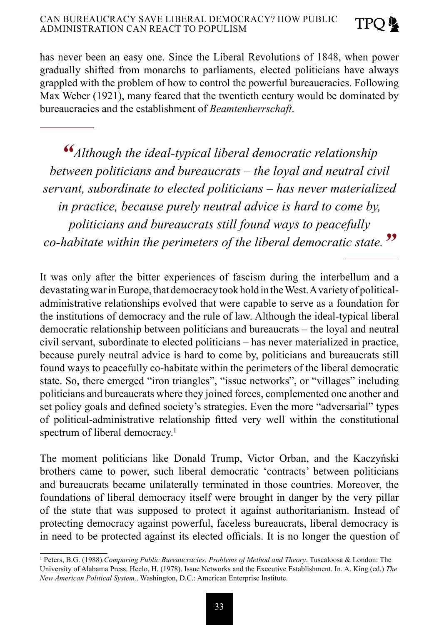has never been an easy one. Since the Liberal Revolutions of 1848, when power gradually shifted from monarchs to parliaments, elected politicians have always grappled with the problem of how to control the powerful bureaucracies. Following Max Weber (1921), many feared that the twentieth century would be dominated by bureaucracies and the establishment of *Beamtenherrschaft*.

*"Although the ideal-typical liberal democratic relationship between politicians and bureaucrats – the loyal and neutral civil servant, subordinate to elected politicians – has never materialized in practice, because purely neutral advice is hard to come by, politicians and bureaucrats still found ways to peacefully co-habitate within the perimeters of the liberal democratic state."*

It was only after the bitter experiences of fascism during the interbellum and a devastating war in Europe, that democracy took hold in the West. A variety of politicaladministrative relationships evolved that were capable to serve as a foundation for the institutions of democracy and the rule of law. Although the ideal-typical liberal democratic relationship between politicians and bureaucrats – the loyal and neutral civil servant, subordinate to elected politicians – has never materialized in practice, because purely neutral advice is hard to come by, politicians and bureaucrats still found ways to peacefully co-habitate within the perimeters of the liberal democratic state. So, there emerged "iron triangles", "issue networks", or "villages" including politicians and bureaucrats where they joined forces, complemented one another and set policy goals and defined society's strategies. Even the more "adversarial" types of political-administrative relationship fitted very well within the constitutional spectrum of liberal democracy.<sup>1</sup>

The moment politicians like Donald Trump, Victor Orban, and the Kaczyński brothers came to power, such liberal democratic 'contracts' between politicians and bureaucrats became unilaterally terminated in those countries. Moreover, the foundations of liberal democracy itself were brought in danger by the very pillar of the state that was supposed to protect it against authoritarianism. Instead of protecting democracy against powerful, faceless bureaucrats, liberal democracy is in need to be protected against its elected officials. It is no longer the question of

<sup>&</sup>lt;sup>1</sup> Peters, B.G. (1988).*Comparing Public Bureaucracies. Problems of Method and Theory*. Tuscaloosa & London: The University of Alabama Press. Heclo, H. (1978). Issue Networks and the Executive Establishment. In. A. King (ed.) *The New American Political System,*. Washington, D.C.: American Enterprise Institute.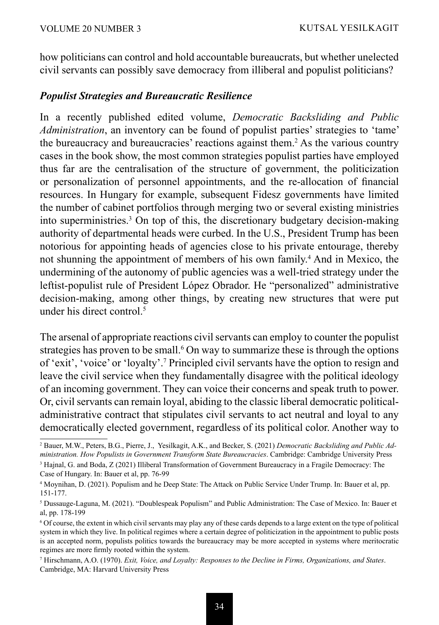how politicians can control and hold accountable bureaucrats, but whether unelected civil servants can possibly save democracy from illiberal and populist politicians?

### *Populist Strategies and Bureaucratic Resilience*

In a recently published edited volume, *Democratic Backsliding and Public Administration*, an inventory can be found of populist parties' strategies to 'tame' the bureaucracy and bureaucracies' reactions against them.<sup>2</sup> As the various country cases in the book show, the most common strategies populist parties have employed thus far are the centralisation of the structure of government, the politicization or personalization of personnel appointments, and the re-allocation of financial resources. In Hungary for example, subsequent Fidesz governments have limited the number of cabinet portfolios through merging two or several existing ministries into superministries.<sup>3</sup> On top of this, the discretionary budgetary decision-making authority of departmental heads were curbed. In the U.S., President Trump has been notorious for appointing heads of agencies close to his private entourage, thereby not shunning the appointment of members of his own family.4 And in Mexico, the undermining of the autonomy of public agencies was a well-tried strategy under the leftist-populist rule of President López Obrador. He "personalized" administrative decision-making, among other things, by creating new structures that were put under his direct control.<sup>5</sup>

The arsenal of appropriate reactions civil servants can employ to counter the populist strategies has proven to be small.<sup>6</sup> On way to summarize these is through the options of 'exit', 'voice' or 'loyalty'.7 Principled civil servants have the option to resign and leave the civil service when they fundamentally disagree with the political ideology of an incoming government. They can voice their concerns and speak truth to power. Or, civil servants can remain loyal, abiding to the classic liberal democratic politicaladministrative contract that stipulates civil servants to act neutral and loyal to any democratically elected government, regardless of its political color. Another way to

<sup>2</sup> Bauer, M.W., Peters, B.G., Pierre, J., Yesilkagit, A.K., and Becker, S. (2021) *Democratic Backsliding and Public Administration. How Populists in Government Transform State Bureaucracies*. Cambridge: Cambridge University Press

<sup>3</sup> Hajnal, G. and Boda, Z (2021) Illiberal Transformation of Government Bureaucracy in a Fragile Democracy: The Case of Hungary. In: Bauer et al, pp. 76-99

<sup>4</sup> Moynihan, D. (2021). Populism and he Deep State: The Attack on Public Service Under Trump. In: Bauer et al, pp. 151-177.

<sup>5</sup> Dussauge-Laguna, M. (2021). "Doublespeak Populism" and Public Administration: The Case of Mexico. In: Bauer et al, pp. 178-199

<sup>6</sup> Of course, the extent in which civil servants may play any of these cards depends to a large extent on the type of political system in which they live. In political regimes where a certain degree of politicization in the appointment to public posts is an accepted norm, populists politics towards the bureaucracy may be more accepted in systems where meritocratic regimes are more firmly rooted within the system.

<sup>7</sup> Hirschmann, A.O. (1970). *Exit, Voice, and Loyalty: Responses to the Decline in Firms, Organizations, and States*. Cambridge, MA: Harvard University Press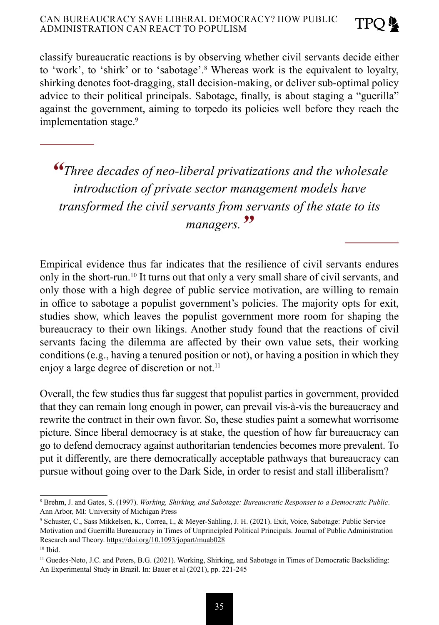classify bureaucratic reactions is by observing whether civil servants decide either to 'work', to 'shirk' or to 'sabotage'.8 Whereas work is the equivalent to loyalty, shirking denotes foot-dragging, stall decision-making, or deliver sub-optimal policy advice to their political principals. Sabotage, finally, is about staging a "guerilla" against the government, aiming to torpedo its policies well before they reach the implementation stage.<sup>9</sup>

*"Three decades of neo-liberal privatizations and the wholesale introduction of private sector management models have transformed the civil servants from servants of the state to its managers."*

Empirical evidence thus far indicates that the resilience of civil servants endures only in the short-run.10 It turns out that only a very small share of civil servants, and only those with a high degree of public service motivation, are willing to remain in office to sabotage a populist government's policies. The majority opts for exit, studies show, which leaves the populist government more room for shaping the bureaucracy to their own likings. Another study found that the reactions of civil servants facing the dilemma are affected by their own value sets, their working conditions (e.g., having a tenured position or not), or having a position in which they enjoy a large degree of discretion or not.<sup>11</sup>

Overall, the few studies thus far suggest that populist parties in government, provided that they can remain long enough in power, can prevail vis-à-vis the bureaucracy and rewrite the contract in their own favor. So, these studies paint a somewhat worrisome picture. Since liberal democracy is at stake, the question of how far bureaucracy can go to defend democracy against authoritarian tendencies becomes more prevalent. To put it differently, are there democratically acceptable pathways that bureaucracy can pursue without going over to the Dark Side, in order to resist and stall illiberalism?

<sup>8</sup> Brehm, J. and Gates, S. (1997). *Working, Shirking, and Sabotage: Bureaucratic Responses to a Democratic Public*. Ann Arbor, MI: University of Michigan Press

<sup>9</sup> Schuster, C., Sass Mikkelsen, K., Correa, I., & Meyer-Sahling, J. H. (2021). Exit, Voice, Sabotage: Public Service Motivation and Guerrilla Bureaucracy in Times of Unprincipled Political Principals. Journal of Public Administration Research and Theory. https://doi.org/10.1093/jopart/muab028

<sup>10</sup> Ibid.

<sup>&</sup>lt;sup>11</sup> Guedes-Neto, J.C. and Peters, B.G. (2021). Working, Shirking, and Sabotage in Times of Democratic Backsliding: An Experimental Study in Brazil. In: Bauer et al (2021), pp. 221-245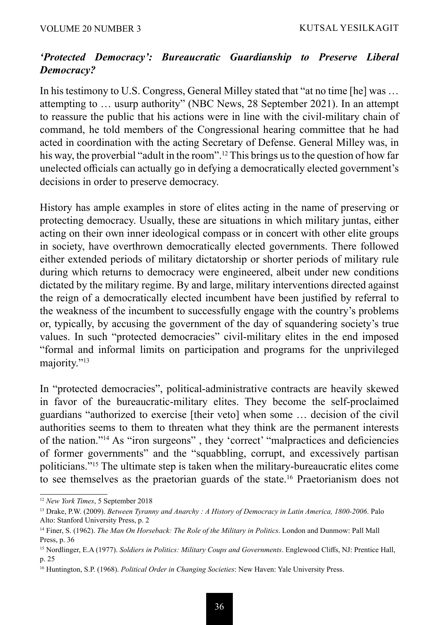### *'Protected Democracy': Bureaucratic Guardianship to Preserve Liberal Democracy?*

In his testimony to U.S. Congress, General Milley stated that "at no time [he] was … attempting to … usurp authority" (NBC News, 28 September 2021). In an attempt to reassure the public that his actions were in line with the civil-military chain of command, he told members of the Congressional hearing committee that he had acted in coordination with the acting Secretary of Defense. General Milley was, in his way, the proverbial "adult in the room".<sup>12</sup> This brings us to the question of how far unelected officials can actually go in defying a democratically elected government's decisions in order to preserve democracy.

History has ample examples in store of elites acting in the name of preserving or protecting democracy. Usually, these are situations in which military juntas, either acting on their own inner ideological compass or in concert with other elite groups in society, have overthrown democratically elected governments. There followed either extended periods of military dictatorship or shorter periods of military rule during which returns to democracy were engineered, albeit under new conditions dictated by the military regime. By and large, military interventions directed against the reign of a democratically elected incumbent have been justified by referral to the weakness of the incumbent to successfully engage with the country's problems or, typically, by accusing the government of the day of squandering society's true values. In such "protected democracies" civil-military elites in the end imposed "formal and informal limits on participation and programs for the unprivileged majority."<sup>13</sup>

In "protected democracies", political-administrative contracts are heavily skewed in favor of the bureaucratic-military elites. They become the self-proclaimed guardians "authorized to exercise [their veto] when some … decision of the civil authorities seems to them to threaten what they think are the permanent interests of the nation."14 As "iron surgeons" , they 'correct' "malpractices and deficiencies of former governments" and the "squabbling, corrupt, and excessively partisan politicians."15 The ultimate step is taken when the military-bureaucratic elites come to see themselves as the praetorian guards of the state.<sup>16</sup> Praetorianism does not

<sup>12</sup> *New York Times*, 5 September 2018

<sup>13</sup> Drake, P.W. (2009). *Between Tyranny and Anarchy : A History of Democracy in Latin America, 1800-2006*. Palo Alto: Stanford University Press, p. 2

<sup>14</sup> Finer, S. (1962). *The Man On Horseback: The Role of the Military in Politics*. London and Dunmow: Pall Mall Press, p. 36

<sup>15</sup> Nordlinger, E.A (1977). *Soldiers in Politics: Military Coups and Governments*. Englewood Cliffs, NJ: Prentice Hall, p. 25

<sup>16</sup> Huntington, S.P. (1968). *Political Order in Changing Societies*: New Haven: Yale University Press.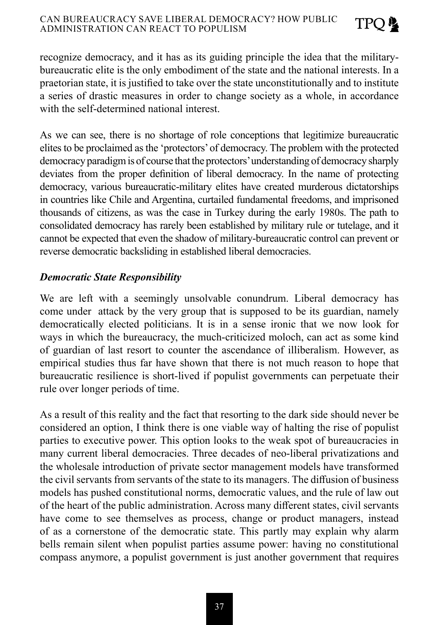#### CAN BUREAUCRACY SAVE LIBERAL DEMOCRACY? HOW PUBLIC ADMINISTRATION CAN REACT TO POPULISM

recognize democracy, and it has as its guiding principle the idea that the militarybureaucratic elite is the only embodiment of the state and the national interests. In a praetorian state, it is justified to take over the state unconstitutionally and to institute a series of drastic measures in order to change society as a whole, in accordance with the self-determined national interest.

**TPO** 

As we can see, there is no shortage of role conceptions that legitimize bureaucratic elites to be proclaimed as the 'protectors' of democracy. The problem with the protected democracy paradigm is of course that the protectors' understanding of democracy sharply deviates from the proper definition of liberal democracy. In the name of protecting democracy, various bureaucratic-military elites have created murderous dictatorships in countries like Chile and Argentina, curtailed fundamental freedoms, and imprisoned thousands of citizens, as was the case in Turkey during the early 1980s. The path to consolidated democracy has rarely been established by military rule or tutelage, and it cannot be expected that even the shadow of military-bureaucratic control can prevent or reverse democratic backsliding in established liberal democracies.

### *Democratic State Responsibility*

We are left with a seemingly unsolvable conundrum. Liberal democracy has come under attack by the very group that is supposed to be its guardian, namely democratically elected politicians. It is in a sense ironic that we now look for ways in which the bureaucracy, the much-criticized moloch, can act as some kind of guardian of last resort to counter the ascendance of illiberalism. However, as empirical studies thus far have shown that there is not much reason to hope that bureaucratic resilience is short-lived if populist governments can perpetuate their rule over longer periods of time.

As a result of this reality and the fact that resorting to the dark side should never be considered an option, I think there is one viable way of halting the rise of populist parties to executive power. This option looks to the weak spot of bureaucracies in many current liberal democracies. Three decades of neo-liberal privatizations and the wholesale introduction of private sector management models have transformed the civil servants from servants of the state to its managers. The diffusion of business models has pushed constitutional norms, democratic values, and the rule of law out of the heart of the public administration. Across many different states, civil servants have come to see themselves as process, change or product managers, instead of as a cornerstone of the democratic state. This partly may explain why alarm bells remain silent when populist parties assume power: having no constitutional compass anymore, a populist government is just another government that requires